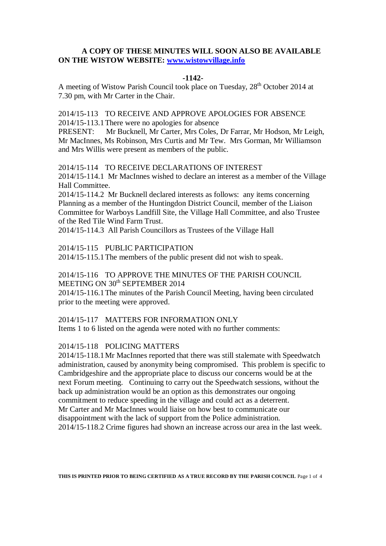## **A COPY OF THESE MINUTES WILL SOON ALSO BE AVAILABLE ON THE WISTOW WEBSITE: [www.wistowvillage.info](http://www.wistowvillage.info/)**

### **-1142-**

A meeting of Wistow Parish Council took place on Tuesday, 28<sup>th</sup> October 2014 at 7.30 pm, with Mr Carter in the Chair.

2014/15-113 TO RECEIVE AND APPROVE APOLOGIES FOR ABSENCE 2014/15-113.1There were no apologies for absence

PRESENT: Mr Bucknell, Mr Carter, Mrs Coles, Dr Farrar, Mr Hodson, Mr Leigh, Mr MacInnes, Ms Robinson, Mrs Curtis and Mr Tew. Mrs Gorman, Mr Williamson and Mrs Willis were present as members of the public.

2014/15-114 TO RECEIVE DECLARATIONS OF INTEREST

2014/15-114.1 Mr MacInnes wished to declare an interest as a member of the Village Hall Committee.

2014/15-114.2 Mr Bucknell declared interests as follows: any items concerning Planning as a member of the Huntingdon District Council, member of the Liaison Committee for Warboys Landfill Site, the Village Hall Committee, and also Trustee of the Red Tile Wind Farm Trust.

2014/15-114.3 All Parish Councillors as Trustees of the Village Hall

2014/15-115 PUBLIC PARTICIPATION

2014/15-115.1The members of the public present did not wish to speak.

## 2014/15-116 TO APPROVE THE MINUTES OF THE PARISH COUNCIL MEETING ON 30<sup>th</sup> SEPTEMBER 2014

2014/15-116.1The minutes of the Parish Council Meeting, having been circulated prior to the meeting were approved.

### 2014/15-117 MATTERS FOR INFORMATION ONLY

Items 1 to 6 listed on the agenda were noted with no further comments:

### 2014/15-118 POLICING MATTERS

2014/15-118.1Mr MacInnes reported that there was still stalemate with Speedwatch administration, caused by anonymity being compromised. This problem is specific to Cambridgeshire and the appropriate place to discuss our concerns would be at the next Forum meeting. Continuing to carry out the Speedwatch sessions, without the back up administration would be an option as this demonstrates our ongoing commitment to reduce speeding in the village and could act as a deterrent. Mr Carter and Mr MacInnes would liaise on how best to communicate our disappointment with the lack of support from the Police administration. 2014/15-118.2 Crime figures had shown an increase across our area in the last week.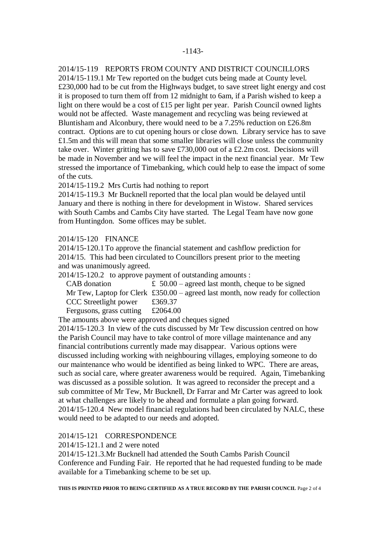## 2014/15-119 REPORTS FROM COUNTY AND DISTRICT COUNCILLORS

2014/15-119.1 Mr Tew reported on the budget cuts being made at County level. £230,000 had to be cut from the Highways budget, to save street light energy and cost it is proposed to turn them off from 12 midnight to 6am, if a Parish wished to keep a light on there would be a cost of £15 per light per year. Parish Council owned lights would not be affected. Waste management and recycling was being reviewed at Bluntisham and Alconbury, there would need to be a 7.25% reduction on £26.8m contract. Options are to cut opening hours or close down. Library service has to save £1.5m and this will mean that some smaller libraries will close unless the community take over. Winter gritting has to save £730,000 out of a £2.2m cost. Decisions will be made in November and we will feel the impact in the next financial year. Mr Tew stressed the importance of Timebanking, which could help to ease the impact of some of the cuts.

2014/15-119.2 Mrs Curtis had nothing to report

2014/15-119.3 Mr Bucknell reported that the local plan would be delayed until January and there is nothing in there for development in Wistow. Shared services with South Cambs and Cambs City have started. The Legal Team have now gone from Huntingdon. Some offices may be sublet.

## 2014/15-120 FINANCE

2014/15-120.1To approve the financial statement and cashflow prediction for 2014/15. This had been circulated to Councillors present prior to the meeting and was unanimously agreed.

2014/15-120.2 to approve payment of outstanding amounts :

| CAB donation             | £ $50.00$ – agreed last month, cheque to be signed                                      |
|--------------------------|-----------------------------------------------------------------------------------------|
|                          | Mr Tew, Laptop for Clerk $\pounds 350.00$ – agreed last month, now ready for collection |
| CCC Streetlight power    | £369.37                                                                                 |
| Fergusons, grass cutting | £2064.00                                                                                |

The amounts above were approved and cheques signed

2014/15-120.3 In view of the cuts discussed by Mr Tew discussion centred on how the Parish Council may have to take control of more village maintenance and any financial contributions currently made may disappear. Various options were discussed including working with neighbouring villages, employing someone to do our maintenance who would be identified as being linked to WPC. There are areas, such as social care, where greater awareness would be required. Again, Timebanking was discussed as a possible solution. It was agreed to reconsider the precept and a sub committee of Mr Tew, Mr Bucknell, Dr Farrar and Mr Carter was agreed to look at what challenges are likely to be ahead and formulate a plan going forward. 2014/15-120.4 New model financial regulations had been circulated by NALC, these would need to be adapted to our needs and adopted.

### 2014/15-121 CORRESPONDENCE

2014/15-121.1 and 2 were noted

2014/15-121.3.Mr Bucknell had attended the South Cambs Parish Council Conference and Funding Fair. He reported that he had requested funding to be made available for a Timebanking scheme to be set up.

**THIS IS PRINTED PRIOR TO BEING CERTIFIED AS A TRUE RECORD BY THE PARISH COUNCIL** Page 2 of 4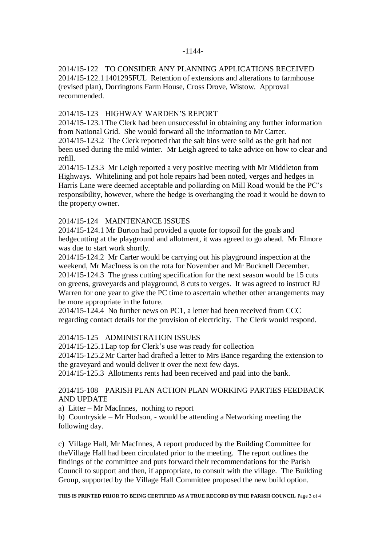### -1144-

2014/15-122 TO CONSIDER ANY PLANNING APPLICATIONS RECEIVED 2014/15-122.11401295FUL Retention of extensions and alterations to farmhouse (revised plan), Dorringtons Farm House, Cross Drove, Wistow. Approval recommended.

## 2014/15-123 HIGHWAY WARDEN'S REPORT

2014/15-123.1The Clerk had been unsuccessful in obtaining any further information from National Grid. She would forward all the information to Mr Carter.

2014/15-123.2 The Clerk reported that the salt bins were solid as the grit had not been used during the mild winter. Mr Leigh agreed to take advice on how to clear and refill.

2014/15-123.3 Mr Leigh reported a very positive meeting with Mr Middleton from Highways. Whitelining and pot hole repairs had been noted, verges and hedges in Harris Lane were deemed acceptable and pollarding on Mill Road would be the PC's responsibility, however, where the hedge is overhanging the road it would be down to the property owner.

## 2014/15-124 MAINTENANCE ISSUES

2014/15-124.1 Mr Burton had provided a quote for topsoil for the goals and hedgecutting at the playground and allotment, it was agreed to go ahead. Mr Elmore was due to start work shortly.

2014/15-124.2 Mr Carter would be carrying out his playground inspection at the weekend, Mr MacIness is on the rota for November and Mr Bucknell December. 2014/15-124.3 The grass cutting specification for the next season would be 15 cuts on greens, graveyards and playground, 8 cuts to verges. It was agreed to instruct RJ Warren for one year to give the PC time to ascertain whether other arrangements may be more appropriate in the future.

2014/15-124.4 No further news on PC1, a letter had been received from CCC regarding contact details for the provision of electricity. The Clerk would respond.

## 2014/15-125 ADMINISTRATION ISSUES

2014/15-125.1Lap top for Clerk's use was ready for collection

2014/15-125.2Mr Carter had drafted a letter to Mrs Bance regarding the extension to the graveyard and would deliver it over the next few days.

2014/15-125.3 Allotments rents had been received and paid into the bank.

## 2014/15-108 PARISH PLAN ACTION PLAN WORKING PARTIES FEEDBACK AND UPDATE

a) Litter – Mr MacInnes, nothing to report

b) Countryside – Mr Hodson, - would be attending a Networking meeting the following day.

c) Village Hall, Mr MacInnes, A report produced by the Building Committee for theVillage Hall had been circulated prior to the meeting. The report outlines the findings of the committee and puts forward their recommendations for the Parish Council to support and then, if appropriate, to consult with the village. The Building Group, supported by the Village Hall Committee proposed the new build option.

#### **THIS IS PRINTED PRIOR TO BEING CERTIFIED AS A TRUE RECORD BY THE PARISH COUNCIL** Page 3 of 4